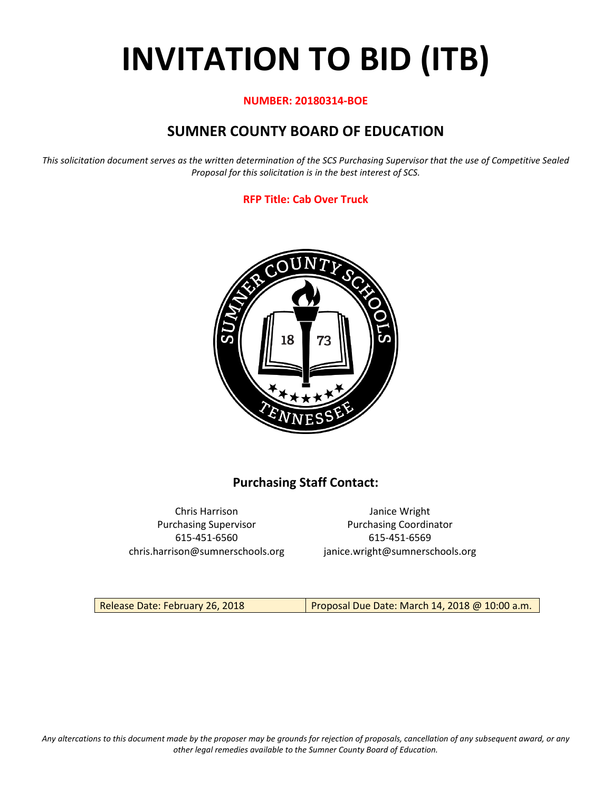# **INVITATION TO BID (ITB)**

#### **NUMBER: 20180314-BOE**

# **SUMNER COUNTY BOARD OF EDUCATION**

*This solicitation document serves as the written determination of the SCS Purchasing Supervisor that the use of Competitive Sealed Proposal for this solicitation is in the best interest of SCS.*

#### **RFP Title: Cab Over Truck**



## **Purchasing Staff Contact:**

Chris Harrison Janice Wright 615-451-6560 615-451-6569 chris.harrison@sumnerschools.org janice.wright@sumnerschools.org

Purchasing Supervisor **Purchasing Coordinator** 

Release Date: February 26, 2018 Proposal Due Date: March 14, 2018 @ 10:00 a.m.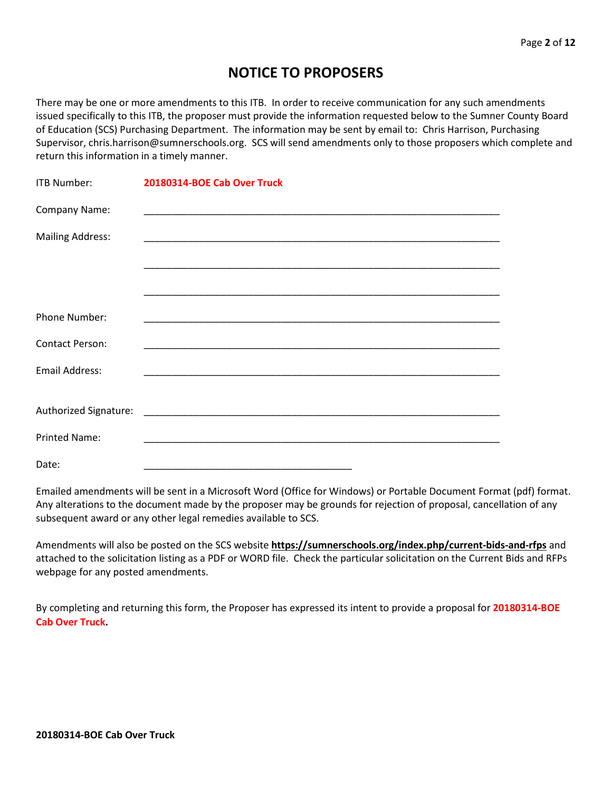## **NOTICE TO PROPOSERS**

There may be one or more amendments to this ITB. In order to receive communication for any such amendments issued specifically to this ITB, the proposer must provide the information requested below to the Sumner County Board of Education (SCS) Purchasing Department. The information may be sent by email to: Chris Harrison, Purchasing Supervisor, chris.harrison@sumnerschools.org. SCS will send amendments only to those proposers which complete and return this information in a timely manner.

| <b>ITB Number:</b>      | 20180314-BOE Cab Over Truck |
|-------------------------|-----------------------------|
| Company Name:           |                             |
| <b>Mailing Address:</b> |                             |
|                         |                             |
|                         |                             |
| Phone Number:           |                             |
| <b>Contact Person:</b>  |                             |
| <b>Email Address:</b>   |                             |
|                         |                             |
|                         |                             |
| <b>Printed Name:</b>    |                             |
| Date:                   |                             |

Emailed amendments will be sent in a Microsoft Word (Office for Windows) or Portable Document Format (pdf) format. Any alterations to the document made by the proposer may be grounds for rejection of proposal, cancellation of any subsequent award or any other legal remedies available to SCS.

Amendments will also be posted on the SCS website **https://sumnerschools.org/index.php/current-bids-and-rfps** and attached to the solicitation listing as a PDF or WORD file. Check the particular solicitation on the Current Bids and RFPs webpage for any posted amendments.

By completing and returning this form, the Proposer has expressed its intent to provide a proposal for **20180314-BOE Cab Over Truck.**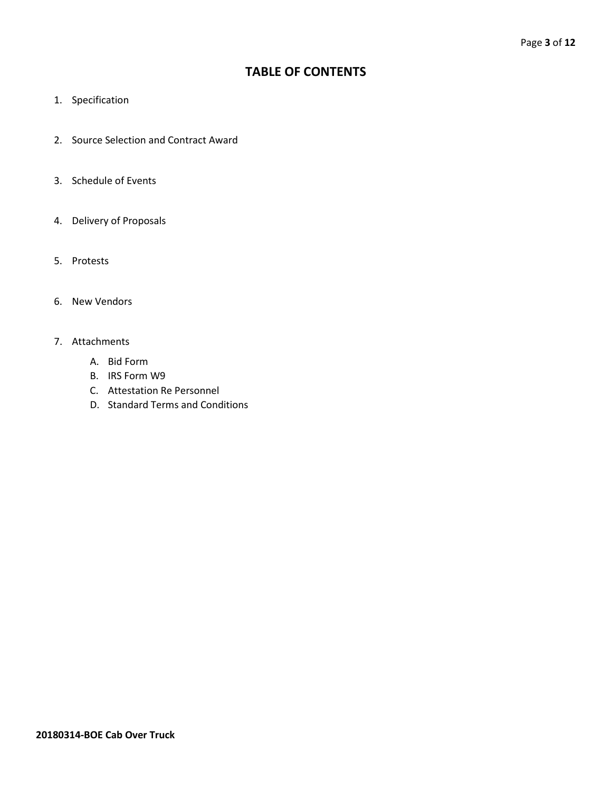## **TABLE OF CONTENTS**

- 1. Specification
- 2. Source Selection and Contract Award
- 3. Schedule of Events
- 4. Delivery of Proposals
- 5. Protests
- 6. New Vendors
- 7. Attachments
	- A. Bid Form
	- B. IRS Form W9
	- C. Attestation Re Personnel
	- D. Standard Terms and Conditions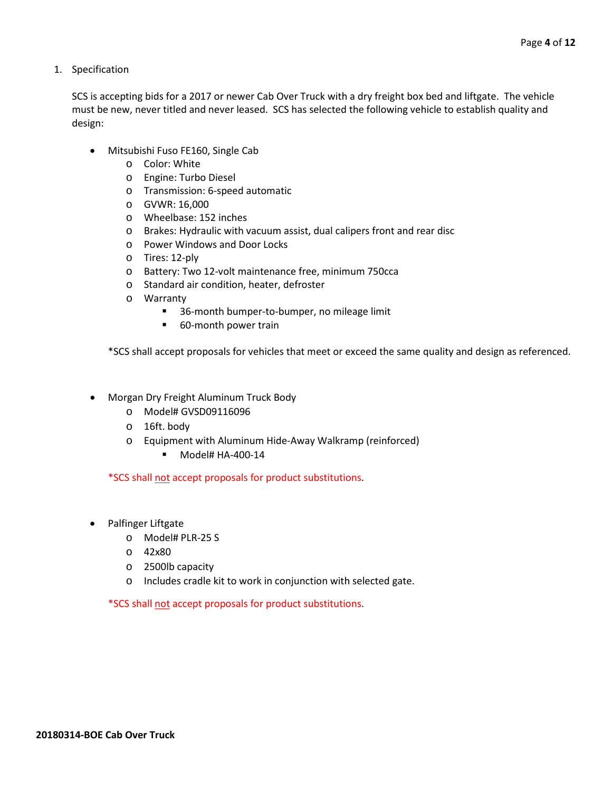1. Specification

SCS is accepting bids for a 2017 or newer Cab Over Truck with a dry freight box bed and liftgate. The vehicle must be new, never titled and never leased. SCS has selected the following vehicle to establish quality and design:

- Mitsubishi Fuso FE160, Single Cab
	- o Color: White
	- o Engine: Turbo Diesel
	- o Transmission: 6-speed automatic
	- o GVWR: 16,000
	- o Wheelbase: 152 inches
	- o Brakes: Hydraulic with vacuum assist, dual calipers front and rear disc
	- o Power Windows and Door Locks
	- o Tires: 12-ply
	- o Battery: Two 12-volt maintenance free, minimum 750cca
	- o Standard air condition, heater, defroster
	- o Warranty
		- **36-month bumper-to-bumper, no mileage limit**
		- 60-month power train

\*SCS shall accept proposals for vehicles that meet or exceed the same quality and design as referenced.

- Morgan Dry Freight Aluminum Truck Body
	- o Model# GVSD09116096
	- o 16ft. body
	- o Equipment with Aluminum Hide-Away Walkramp (reinforced)
		- $\blacksquare$  Model# HA-400-14

\*SCS shall not accept proposals for product substitutions.

- Palfinger Liftgate
	- o Model# PLR-25 S
	- o 42x80
	- o 2500lb capacity
	- o Includes cradle kit to work in conjunction with selected gate.

\*SCS shall not accept proposals for product substitutions.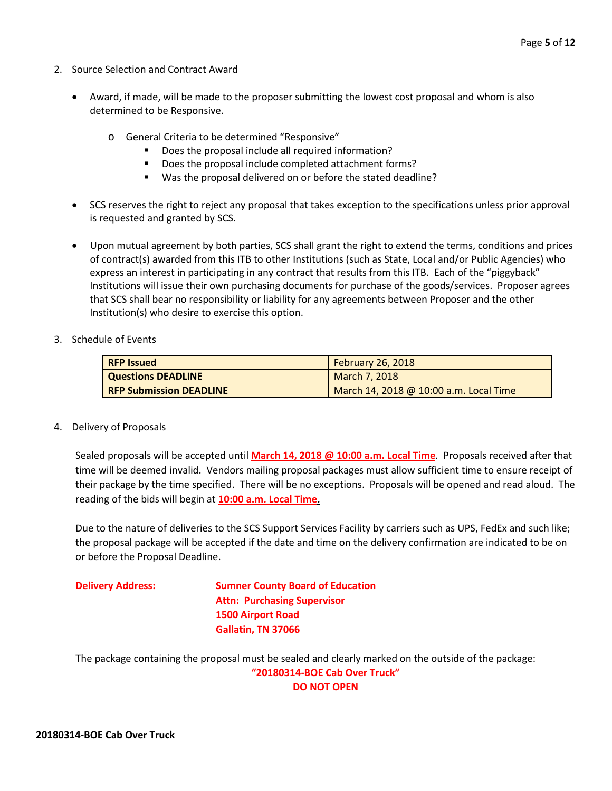- 2. Source Selection and Contract Award
	- Award, if made, will be made to the proposer submitting the lowest cost proposal and whom is also determined to be Responsive.
		- o General Criteria to be determined "Responsive"
			- Does the proposal include all required information?
			- Does the proposal include completed attachment forms?
			- Was the proposal delivered on or before the stated deadline?
	- SCS reserves the right to reject any proposal that takes exception to the specifications unless prior approval is requested and granted by SCS.
	- Upon mutual agreement by both parties, SCS shall grant the right to extend the terms, conditions and prices of contract(s) awarded from this ITB to other Institutions (such as State, Local and/or Public Agencies) who express an interest in participating in any contract that results from this ITB. Each of the "piggyback" Institutions will issue their own purchasing documents for purchase of the goods/services. Proposer agrees that SCS shall bear no responsibility or liability for any agreements between Proposer and the other Institution(s) who desire to exercise this option.
- 3. Schedule of Events

| <b>RFP Issued</b>              | <b>February 26, 2018</b>               |
|--------------------------------|----------------------------------------|
| <b>Questions DEADLINE</b>      | March 7, 2018                          |
| <b>RFP Submission DEADLINE</b> | March 14, 2018 @ 10:00 a.m. Local Time |

4. Delivery of Proposals

Sealed proposals will be accepted until **March 14, 2018 @ 10:00 a.m. Local Time**. Proposals received after that time will be deemed invalid. Vendors mailing proposal packages must allow sufficient time to ensure receipt of their package by the time specified. There will be no exceptions. Proposals will be opened and read aloud. The reading of the bids will begin at **10:00 a.m. Local Time.**

Due to the nature of deliveries to the SCS Support Services Facility by carriers such as UPS, FedEx and such like; the proposal package will be accepted if the date and time on the delivery confirmation are indicated to be on or before the Proposal Deadline.

### **Delivery Address: Sumner County Board of Education Attn: Purchasing Supervisor 1500 Airport Road Gallatin, TN 37066**

The package containing the proposal must be sealed and clearly marked on the outside of the package: **"20180314-BOE Cab Over Truck" DO NOT OPEN**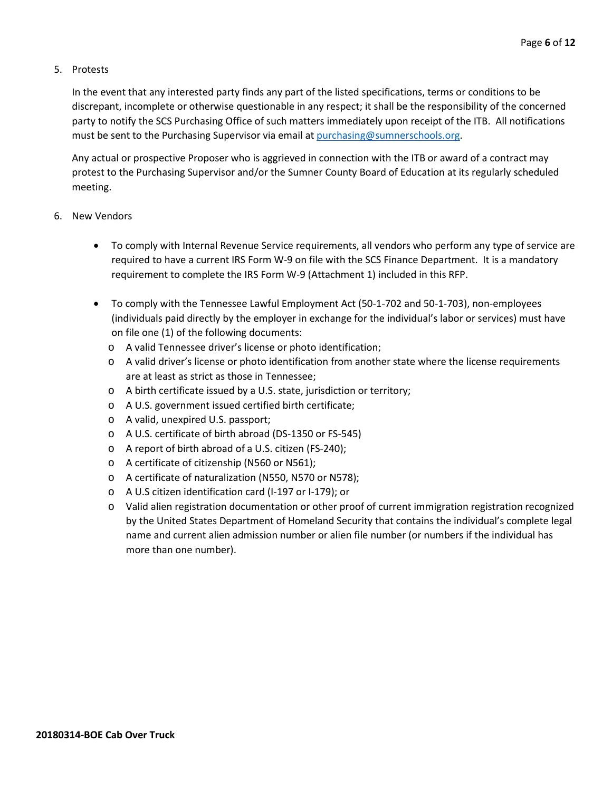#### 5. Protests

In the event that any interested party finds any part of the listed specifications, terms or conditions to be discrepant, incomplete or otherwise questionable in any respect; it shall be the responsibility of the concerned party to notify the SCS Purchasing Office of such matters immediately upon receipt of the ITB. All notifications must be sent to the Purchasing Supervisor via email at [purchasing@sumnerschools.org.](mailto:purchasing@sumnerschools.org)

Any actual or prospective Proposer who is aggrieved in connection with the ITB or award of a contract may protest to the Purchasing Supervisor and/or the Sumner County Board of Education at its regularly scheduled meeting.

#### 6. New Vendors

- To comply with Internal Revenue Service requirements, all vendors who perform any type of service are required to have a current IRS Form W-9 on file with the SCS Finance Department. It is a mandatory requirement to complete the IRS Form W-9 (Attachment 1) included in this RFP.
- To comply with the Tennessee Lawful Employment Act (50-1-702 and 50-1-703), non-employees (individuals paid directly by the employer in exchange for the individual's labor or services) must have on file one (1) of the following documents:
	- o A valid Tennessee driver's license or photo identification;
	- o A valid driver's license or photo identification from another state where the license requirements are at least as strict as those in Tennessee;
	- o A birth certificate issued by a U.S. state, jurisdiction or territory;
	- o A U.S. government issued certified birth certificate;
	- o A valid, unexpired U.S. passport;
	- o A U.S. certificate of birth abroad (DS-1350 or FS-545)
	- o A report of birth abroad of a U.S. citizen (FS-240);
	- o A certificate of citizenship (N560 or N561);
	- o A certificate of naturalization (N550, N570 or N578);
	- o A U.S citizen identification card (I-197 or I-179); or
	- o Valid alien registration documentation or other proof of current immigration registration recognized by the United States Department of Homeland Security that contains the individual's complete legal name and current alien admission number or alien file number (or numbers if the individual has more than one number).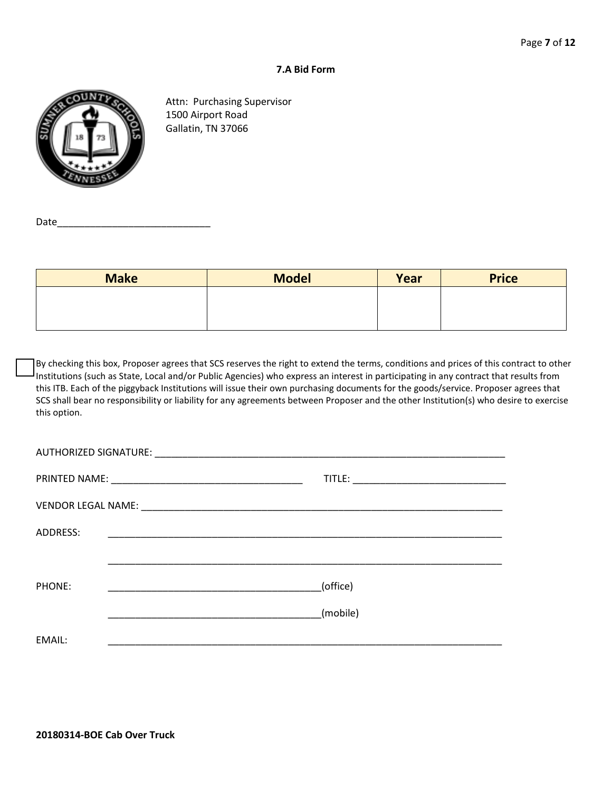#### **7.A Bid Form**



Attn: Purchasing Supervisor 1500 Airport Road Gallatin, TN 37066

Date

| <b>Make</b> | <b>Model</b> | Year | <b>Price</b> |
|-------------|--------------|------|--------------|
|             |              |      |              |
|             |              |      |              |
|             |              |      |              |

By checking this box, Proposer agrees that SCS reserves the right to extend the terms, conditions and prices of this contract to other Institutions (such as State, Local and/or Public Agencies) who express an interest in participating in any contract that results from this ITB. Each of the piggyback Institutions will issue their own purchasing documents for the goods/service. Proposer agrees that SCS shall bear no responsibility or liability for any agreements between Proposer and the other Institution(s) who desire to exercise this option.

| ADDRESS: |          |
|----------|----------|
|          |          |
| PHONE:   | (office) |
|          | (mobile) |
| EMAIL:   |          |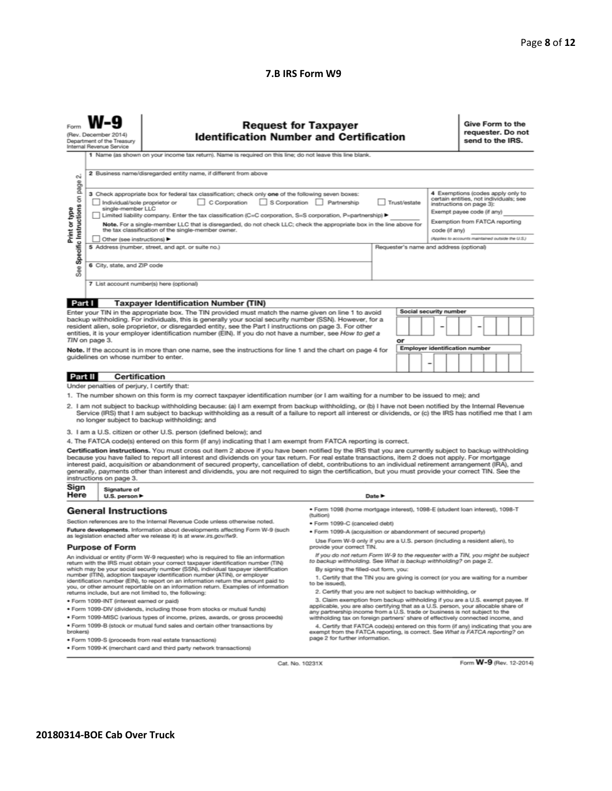#### **7.B IRS Form W9**

| Form                                                                                                                                                                                                                                                                                                                                                                                                                                                                                                                                                                                                                                                                                                                                                                     | <b>Request for Taxpayer</b><br>(Rev. December 2014)<br><b>Identification Number and Certification</b><br>Department of the Treasury<br>Internal Revenue Service<br>1 Name (as shown on your income tax return). Name is required on this line; do not leave this line blank. |                                                                                                                                                                                                                                                                                                                                                                                                                                                                                                                                                                                                                               |                                                                                                                                                                  |                                                                                                          |    |                               |  | Give Form to the<br>requester. Do not<br>send to the IRS. |  |  |  |  |
|--------------------------------------------------------------------------------------------------------------------------------------------------------------------------------------------------------------------------------------------------------------------------------------------------------------------------------------------------------------------------------------------------------------------------------------------------------------------------------------------------------------------------------------------------------------------------------------------------------------------------------------------------------------------------------------------------------------------------------------------------------------------------|------------------------------------------------------------------------------------------------------------------------------------------------------------------------------------------------------------------------------------------------------------------------------|-------------------------------------------------------------------------------------------------------------------------------------------------------------------------------------------------------------------------------------------------------------------------------------------------------------------------------------------------------------------------------------------------------------------------------------------------------------------------------------------------------------------------------------------------------------------------------------------------------------------------------|------------------------------------------------------------------------------------------------------------------------------------------------------------------|----------------------------------------------------------------------------------------------------------|----|-------------------------------|--|-----------------------------------------------------------|--|--|--|--|
| N<br>page                                                                                                                                                                                                                                                                                                                                                                                                                                                                                                                                                                                                                                                                                                                                                                |                                                                                                                                                                                                                                                                              | 2 Business name/disregarded entity name, if different from above                                                                                                                                                                                                                                                                                                                                                                                                                                                                                                                                                              |                                                                                                                                                                  |                                                                                                          |    |                               |  |                                                           |  |  |  |  |
| 4 Exemptions (codes apply only to<br>3 Check appropriate box for federal tax classification; check only one of the following seven boxes:<br>Specific Instructions on<br>certain entities, not individuals; see<br>C Corporation<br>$\Box$ S Corporation<br>Partnership<br>Trust/estate<br>Individual/sole proprietor or<br>instructions on page 3):<br>single-member LLC<br>Print or type<br>Exempt payee code (if any)<br>Limited liability company. Enter the tax classification (C=C corporation, S=S corporation, P=partnership) ><br>Exemption from FATCA reporting<br>Note. For a single-member LLC that is disregarded, do not check LLC; check the appropriate box in the line above for<br>the tax classification of the single-member owner.<br>code (if any) |                                                                                                                                                                                                                                                                              |                                                                                                                                                                                                                                                                                                                                                                                                                                                                                                                                                                                                                               |                                                                                                                                                                  |                                                                                                          |    |                               |  |                                                           |  |  |  |  |
| (Applies to accounts maintained outside the U.S.)<br>Other (see instructions) ▶<br>5 Address (number, street, and apt. or suite no.)<br>Requester's name and address (optional)<br>6 City, state, and ZIP code<br>See                                                                                                                                                                                                                                                                                                                                                                                                                                                                                                                                                    |                                                                                                                                                                                                                                                                              |                                                                                                                                                                                                                                                                                                                                                                                                                                                                                                                                                                                                                               |                                                                                                                                                                  |                                                                                                          |    |                               |  |                                                           |  |  |  |  |
|                                                                                                                                                                                                                                                                                                                                                                                                                                                                                                                                                                                                                                                                                                                                                                          |                                                                                                                                                                                                                                                                              | 7 List account number(s) here (optional)                                                                                                                                                                                                                                                                                                                                                                                                                                                                                                                                                                                      |                                                                                                                                                                  |                                                                                                          |    |                               |  |                                                           |  |  |  |  |
| Part I                                                                                                                                                                                                                                                                                                                                                                                                                                                                                                                                                                                                                                                                                                                                                                   |                                                                                                                                                                                                                                                                              | <b>Taxpayer Identification Number (TIN)</b>                                                                                                                                                                                                                                                                                                                                                                                                                                                                                                                                                                                   |                                                                                                                                                                  |                                                                                                          |    |                               |  |                                                           |  |  |  |  |
|                                                                                                                                                                                                                                                                                                                                                                                                                                                                                                                                                                                                                                                                                                                                                                          |                                                                                                                                                                                                                                                                              | Enter your TIN in the appropriate box. The TIN provided must match the name given on line 1 to avoid<br>backup withholding. For individuals, this is generally your social security number (SSN). However, for a                                                                                                                                                                                                                                                                                                                                                                                                              |                                                                                                                                                                  |                                                                                                          |    | <b>Social security number</b> |  |                                                           |  |  |  |  |
|                                                                                                                                                                                                                                                                                                                                                                                                                                                                                                                                                                                                                                                                                                                                                                          |                                                                                                                                                                                                                                                                              | resident alien, sole proprietor, or disregarded entity, see the Part I instructions on page 3. For other                                                                                                                                                                                                                                                                                                                                                                                                                                                                                                                      |                                                                                                                                                                  |                                                                                                          |    |                               |  |                                                           |  |  |  |  |
|                                                                                                                                                                                                                                                                                                                                                                                                                                                                                                                                                                                                                                                                                                                                                                          | TIN on page 3.                                                                                                                                                                                                                                                               | entities, it is your employer identification number (EIN). If you do not have a number, see How to get a                                                                                                                                                                                                                                                                                                                                                                                                                                                                                                                      |                                                                                                                                                                  |                                                                                                          | or |                               |  |                                                           |  |  |  |  |
|                                                                                                                                                                                                                                                                                                                                                                                                                                                                                                                                                                                                                                                                                                                                                                          |                                                                                                                                                                                                                                                                              | Note. If the account is in more than one name, see the instructions for line 1 and the chart on page 4 for                                                                                                                                                                                                                                                                                                                                                                                                                                                                                                                    |                                                                                                                                                                  |                                                                                                          |    |                               |  | <b>Employer identification number</b>                     |  |  |  |  |
| guidelines on whose number to enter.                                                                                                                                                                                                                                                                                                                                                                                                                                                                                                                                                                                                                                                                                                                                     |                                                                                                                                                                                                                                                                              |                                                                                                                                                                                                                                                                                                                                                                                                                                                                                                                                                                                                                               |                                                                                                                                                                  |                                                                                                          |    |                               |  |                                                           |  |  |  |  |
| Part II                                                                                                                                                                                                                                                                                                                                                                                                                                                                                                                                                                                                                                                                                                                                                                  | Certification                                                                                                                                                                                                                                                                |                                                                                                                                                                                                                                                                                                                                                                                                                                                                                                                                                                                                                               |                                                                                                                                                                  |                                                                                                          |    |                               |  |                                                           |  |  |  |  |
|                                                                                                                                                                                                                                                                                                                                                                                                                                                                                                                                                                                                                                                                                                                                                                          | Under penalties of perjury, I certify that:                                                                                                                                                                                                                                  |                                                                                                                                                                                                                                                                                                                                                                                                                                                                                                                                                                                                                               |                                                                                                                                                                  |                                                                                                          |    |                               |  |                                                           |  |  |  |  |
|                                                                                                                                                                                                                                                                                                                                                                                                                                                                                                                                                                                                                                                                                                                                                                          |                                                                                                                                                                                                                                                                              | 1. The number shown on this form is my correct taxpayer identification number (or I am waiting for a number to be issued to me); and                                                                                                                                                                                                                                                                                                                                                                                                                                                                                          |                                                                                                                                                                  |                                                                                                          |    |                               |  |                                                           |  |  |  |  |
|                                                                                                                                                                                                                                                                                                                                                                                                                                                                                                                                                                                                                                                                                                                                                                          |                                                                                                                                                                                                                                                                              | 2. I am not subject to backup withholding because: (a) I am exempt from backup withholding, or (b) I have not been notified by the Internal Revenue<br>Service (IRS) that I am subject to backup withholding as a result of a failure to report all interest or dividends, or (c) the IRS has notified me that I am<br>no longer subject to backup withholding; and                                                                                                                                                                                                                                                           |                                                                                                                                                                  |                                                                                                          |    |                               |  |                                                           |  |  |  |  |
|                                                                                                                                                                                                                                                                                                                                                                                                                                                                                                                                                                                                                                                                                                                                                                          |                                                                                                                                                                                                                                                                              | 3. I am a U.S. citizen or other U.S. person (defined below); and                                                                                                                                                                                                                                                                                                                                                                                                                                                                                                                                                              |                                                                                                                                                                  |                                                                                                          |    |                               |  |                                                           |  |  |  |  |
|                                                                                                                                                                                                                                                                                                                                                                                                                                                                                                                                                                                                                                                                                                                                                                          |                                                                                                                                                                                                                                                                              | 4. The FATCA code(s) entered on this form (if any) indicating that I am exempt from FATCA reporting is correct.                                                                                                                                                                                                                                                                                                                                                                                                                                                                                                               |                                                                                                                                                                  |                                                                                                          |    |                               |  |                                                           |  |  |  |  |
|                                                                                                                                                                                                                                                                                                                                                                                                                                                                                                                                                                                                                                                                                                                                                                          | instructions on page 3.                                                                                                                                                                                                                                                      | Certification instructions. You must cross out item 2 above if you have been notified by the IRS that you are currently subject to backup withholding<br>because you have failed to report all interest and dividends on your tax return. For real estate transactions, item 2 does not apply. For mortgage<br>interest paid, acquisition or abandonment of secured property, cancellation of debt, contributions to an individual retirement arrangement (IRA), and<br>generally, payments other than interest and dividends, you are not required to sign the certification, but you must provide your correct TIN. See the |                                                                                                                                                                  |                                                                                                          |    |                               |  |                                                           |  |  |  |  |
| Sign<br>Here                                                                                                                                                                                                                                                                                                                                                                                                                                                                                                                                                                                                                                                                                                                                                             | Signature of<br>U.S. person $\blacktriangleright$                                                                                                                                                                                                                            |                                                                                                                                                                                                                                                                                                                                                                                                                                                                                                                                                                                                                               |                                                                                                                                                                  | Date P                                                                                                   |    |                               |  |                                                           |  |  |  |  |
| <b>General Instructions</b>                                                                                                                                                                                                                                                                                                                                                                                                                                                                                                                                                                                                                                                                                                                                              |                                                                                                                                                                                                                                                                              | ● Form 1098 (home mortgage interest), 1098-E (student loan interest), 1098-T<br>(tuition)                                                                                                                                                                                                                                                                                                                                                                                                                                                                                                                                     |                                                                                                                                                                  |                                                                                                          |    |                               |  |                                                           |  |  |  |  |
| Section references are to the Internal Revenue Code unless otherwise noted.                                                                                                                                                                                                                                                                                                                                                                                                                                                                                                                                                                                                                                                                                              |                                                                                                                                                                                                                                                                              | · Form 1099-C (canceled debt)                                                                                                                                                                                                                                                                                                                                                                                                                                                                                                                                                                                                 |                                                                                                                                                                  |                                                                                                          |    |                               |  |                                                           |  |  |  |  |
| Future developments. Information about developments affecting Form W-9 (such<br>as legislation enacted after we release it) is at www.irs.gov/fw9.                                                                                                                                                                                                                                                                                                                                                                                                                                                                                                                                                                                                                       |                                                                                                                                                                                                                                                                              | . Form 1099-A (acquisition or abandonment of secured property)                                                                                                                                                                                                                                                                                                                                                                                                                                                                                                                                                                |                                                                                                                                                                  |                                                                                                          |    |                               |  |                                                           |  |  |  |  |
| <b>Purpose of Form</b>                                                                                                                                                                                                                                                                                                                                                                                                                                                                                                                                                                                                                                                                                                                                                   |                                                                                                                                                                                                                                                                              |                                                                                                                                                                                                                                                                                                                                                                                                                                                                                                                                                                                                                               |                                                                                                                                                                  | Use Form W-9 only if you are a U.S. person (including a resident alien), to<br>provide your correct TIN. |    |                               |  |                                                           |  |  |  |  |
| An individual or entity (Form W-9 requester) who is required to file an information<br>return with the IRS must obtain your correct taxpayer identification number (TIN)                                                                                                                                                                                                                                                                                                                                                                                                                                                                                                                                                                                                 |                                                                                                                                                                                                                                                                              |                                                                                                                                                                                                                                                                                                                                                                                                                                                                                                                                                                                                                               | If you do not return Form W-9 to the requester with a TIN, you might be subject<br>to backup withholding. See What is backup withholding? on page 2.             |                                                                                                          |    |                               |  |                                                           |  |  |  |  |
| which may be your social security number (SSN), individual taxpayer identification<br>number (ITIN), adoption taxpayer identification number (ATIN), or employer<br>identification number (EIN), to report on an information return the amount paid to<br>you, or other amount reportable on an information return. Examples of information<br>returns include, but are not limited to, the following:                                                                                                                                                                                                                                                                                                                                                                   |                                                                                                                                                                                                                                                                              | By signing the filled-out form, you:<br>1. Certify that the TIN you are giving is correct (or you are waiting for a number<br>to be issued).<br>2. Certify that you are not subject to backup withholding, or                                                                                                                                                                                                                                                                                                                                                                                                                 |                                                                                                                                                                  |                                                                                                          |    |                               |  |                                                           |  |  |  |  |
| · Form 1099-INT (interest earned or paid)                                                                                                                                                                                                                                                                                                                                                                                                                                                                                                                                                                                                                                                                                                                                |                                                                                                                                                                                                                                                                              |                                                                                                                                                                                                                                                                                                                                                                                                                                                                                                                                                                                                                               | 3. Claim exemption from backup withholding if you are a U.S. exempt payee. If                                                                                    |                                                                                                          |    |                               |  |                                                           |  |  |  |  |
| . Form 1099-DIV (dividends, including those from stocks or mutual funds)                                                                                                                                                                                                                                                                                                                                                                                                                                                                                                                                                                                                                                                                                                 |                                                                                                                                                                                                                                                                              |                                                                                                                                                                                                                                                                                                                                                                                                                                                                                                                                                                                                                               | applicable, you are also certifying that as a U.S. person, your allocable share of<br>any partnership income from a U.S. trade or business is not subject to the |                                                                                                          |    |                               |  |                                                           |  |  |  |  |
|                                                                                                                                                                                                                                                                                                                                                                                                                                                                                                                                                                                                                                                                                                                                                                          |                                                                                                                                                                                                                                                                              | . Form 1099-MISC (various types of income, prizes, awards, or gross proceeds)                                                                                                                                                                                                                                                                                                                                                                                                                                                                                                                                                 | withholding tax on foreign partners' share of effectively connected income, and                                                                                  |                                                                                                          |    |                               |  |                                                           |  |  |  |  |
| . Form 1099-B (stock or mutual fund sales and certain other transactions by<br>brokers)<br>· Form 1099-S (proceeds from real estate transactions)                                                                                                                                                                                                                                                                                                                                                                                                                                                                                                                                                                                                                        |                                                                                                                                                                                                                                                                              | 4. Certify that FATCA code(s) entered on this form (if any) indicating that you are<br>exempt from the FATCA reporting, is correct. See What is FATCA reporting? on<br>page 2 for further information.                                                                                                                                                                                                                                                                                                                                                                                                                        |                                                                                                                                                                  |                                                                                                          |    |                               |  |                                                           |  |  |  |  |

Cat. No. 10231X

Form W-9 (Rev. 12-2014)

· Form 1099-K (merchant card and third party network transactions)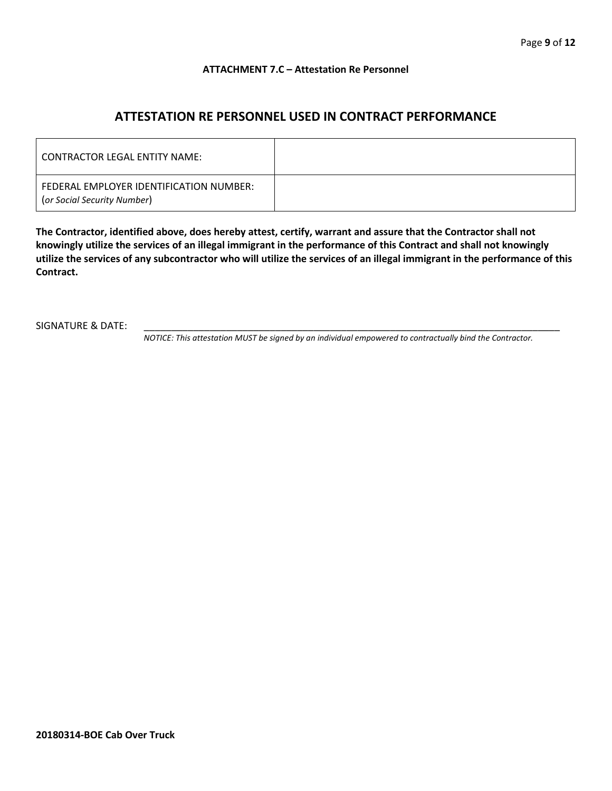#### **ATTACHMENT 7.C – Attestation Re Personnel**

## **ATTESTATION RE PERSONNEL USED IN CONTRACT PERFORMANCE**

| CONTRACTOR LEGAL ENTITY NAME:                                          |  |
|------------------------------------------------------------------------|--|
| FEDERAL EMPLOYER IDENTIFICATION NUMBER:<br>(or Social Security Number) |  |

**The Contractor, identified above, does hereby attest, certify, warrant and assure that the Contractor shall not knowingly utilize the services of an illegal immigrant in the performance of this Contract and shall not knowingly utilize the services of any subcontractor who will utilize the services of an illegal immigrant in the performance of this Contract.**

SIGNATURE & DATE:

*NOTICE: This attestation MUST be signed by an individual empowered to contractually bind the Contractor.*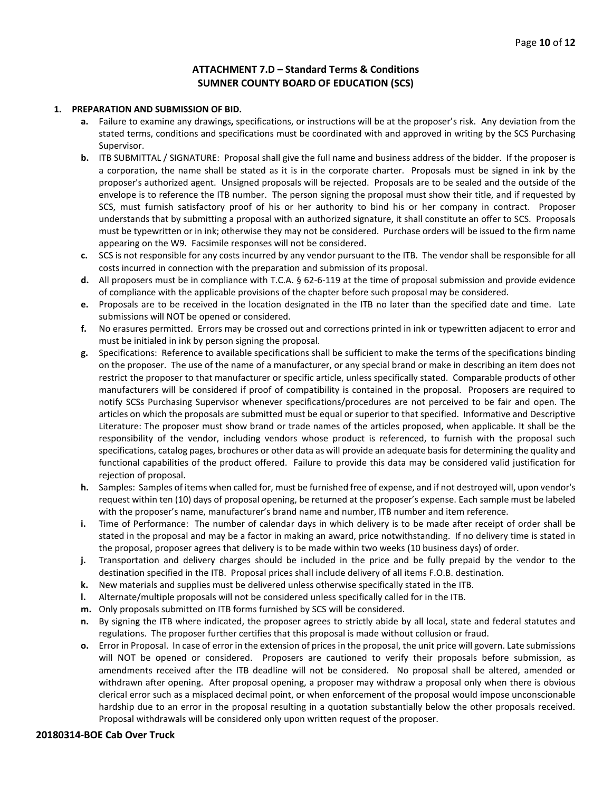#### **ATTACHMENT 7.D – Standard Terms & Conditions SUMNER COUNTY BOARD OF EDUCATION (SCS)**

#### **1. PREPARATION AND SUBMISSION OF BID.**

- **a.** Failure to examine any drawings**,** specifications, or instructions will be at the proposer's risk. Any deviation from the stated terms, conditions and specifications must be coordinated with and approved in writing by the SCS Purchasing Supervisor.
- **b.** ITB SUBMITTAL / SIGNATURE: Proposal shall give the full name and business address of the bidder. If the proposer is a corporation, the name shall be stated as it is in the corporate charter. Proposals must be signed in ink by the proposer's authorized agent. Unsigned proposals will be rejected. Proposals are to be sealed and the outside of the envelope is to reference the ITB number. The person signing the proposal must show their title, and if requested by SCS, must furnish satisfactory proof of his or her authority to bind his or her company in contract. Proposer understands that by submitting a proposal with an authorized signature, it shall constitute an offer to SCS. Proposals must be typewritten or in ink; otherwise they may not be considered. Purchase orders will be issued to the firm name appearing on the W9. Facsimile responses will not be considered.
- **c.** SCS is not responsible for any costs incurred by any vendor pursuant to the ITB. The vendor shall be responsible for all costs incurred in connection with the preparation and submission of its proposal.
- **d.** All proposers must be in compliance with T.C.A. § 62-6-119 at the time of proposal submission and provide evidence of compliance with the applicable provisions of the chapter before such proposal may be considered.
- **e.** Proposals are to be received in the location designated in the ITB no later than the specified date and time. Late submissions will NOT be opened or considered.
- **f.** No erasures permitted. Errors may be crossed out and corrections printed in ink or typewritten adjacent to error and must be initialed in ink by person signing the proposal.
- **g.** Specifications: Reference to available specifications shall be sufficient to make the terms of the specifications binding on the proposer. The use of the name of a manufacturer, or any special brand or make in describing an item does not restrict the proposer to that manufacturer or specific article, unless specifically stated. Comparable products of other manufacturers will be considered if proof of compatibility is contained in the proposal. Proposers are required to notify SCSs Purchasing Supervisor whenever specifications/procedures are not perceived to be fair and open. The articles on which the proposals are submitted must be equal or superior to that specified. Informative and Descriptive Literature: The proposer must show brand or trade names of the articles proposed, when applicable. It shall be the responsibility of the vendor, including vendors whose product is referenced, to furnish with the proposal such specifications, catalog pages, brochures or other data as will provide an adequate basis for determining the quality and functional capabilities of the product offered. Failure to provide this data may be considered valid justification for rejection of proposal.
- **h.** Samples: Samples of items when called for, must be furnished free of expense, and if not destroyed will, upon vendor's request within ten (10) days of proposal opening, be returned at the proposer's expense. Each sample must be labeled with the proposer's name, manufacturer's brand name and number, ITB number and item reference.
- **i.** Time of Performance: The number of calendar days in which delivery is to be made after receipt of order shall be stated in the proposal and may be a factor in making an award, price notwithstanding. If no delivery time is stated in the proposal, proposer agrees that delivery is to be made within two weeks (10 business days) of order.
- **j.** Transportation and delivery charges should be included in the price and be fully prepaid by the vendor to the destination specified in the ITB. Proposal prices shall include delivery of all items F.O.B. destination.
- **k.** New materials and supplies must be delivered unless otherwise specifically stated in the ITB.
- **l.** Alternate/multiple proposals will not be considered unless specifically called for in the ITB.
- **m.** Only proposals submitted on ITB forms furnished by SCS will be considered.
- **n.** By signing the ITB where indicated, the proposer agrees to strictly abide by all local, state and federal statutes and regulations. The proposer further certifies that this proposal is made without collusion or fraud.
- **o.** Error in Proposal. In case of error in the extension of prices in the proposal, the unit price will govern. Late submissions will NOT be opened or considered. Proposers are cautioned to verify their proposals before submission, as amendments received after the ITB deadline will not be considered. No proposal shall be altered, amended or withdrawn after opening. After proposal opening, a proposer may withdraw a proposal only when there is obvious clerical error such as a misplaced decimal point, or when enforcement of the proposal would impose unconscionable hardship due to an error in the proposal resulting in a quotation substantially below the other proposals received. Proposal withdrawals will be considered only upon written request of the proposer.

#### **20180314-BOE Cab Over Truck**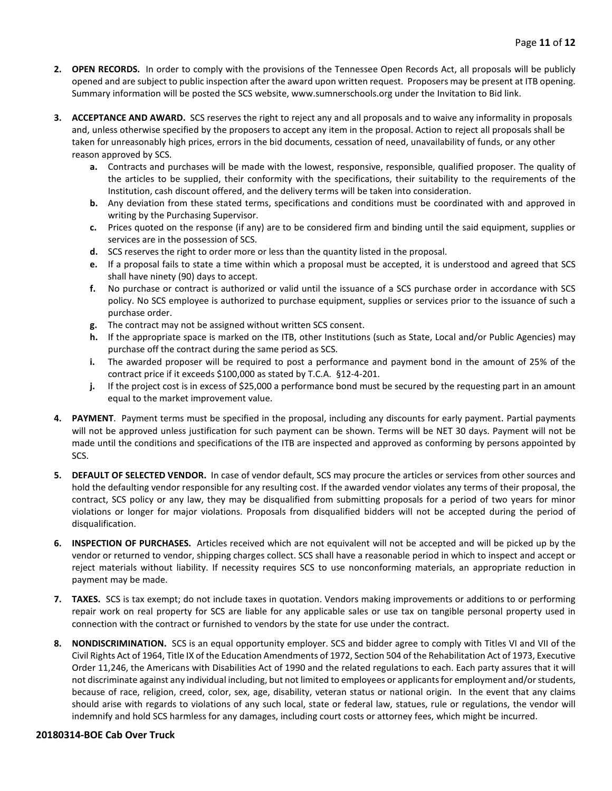- **2. OPEN RECORDS.** In order to comply with the provisions of the Tennessee Open Records Act, all proposals will be publicly opened and are subject to public inspection after the award upon written request. Proposers may be present at ITB opening. Summary information will be posted the SCS website, www.sumnerschools.org under the Invitation to Bid link.
- **3. ACCEPTANCE AND AWARD.** SCS reserves the right to reject any and all proposals and to waive any informality in proposals and, unless otherwise specified by the proposers to accept any item in the proposal. Action to reject all proposals shall be taken for unreasonably high prices, errors in the bid documents, cessation of need, unavailability of funds, or any other reason approved by SCS.
	- **a.** Contracts and purchases will be made with the lowest, responsive, responsible, qualified proposer. The quality of the articles to be supplied, their conformity with the specifications, their suitability to the requirements of the Institution, cash discount offered, and the delivery terms will be taken into consideration.
	- **b.** Any deviation from these stated terms, specifications and conditions must be coordinated with and approved in writing by the Purchasing Supervisor.
	- **c.** Prices quoted on the response (if any) are to be considered firm and binding until the said equipment, supplies or services are in the possession of SCS.
	- **d.** SCS reserves the right to order more or less than the quantity listed in the proposal.
	- **e.** If a proposal fails to state a time within which a proposal must be accepted, it is understood and agreed that SCS shall have ninety (90) days to accept.
	- **f.** No purchase or contract is authorized or valid until the issuance of a SCS purchase order in accordance with SCS policy. No SCS employee is authorized to purchase equipment, supplies or services prior to the issuance of such a purchase order.
	- **g.** The contract may not be assigned without written SCS consent.
	- **h.** If the appropriate space is marked on the ITB, other Institutions (such as State, Local and/or Public Agencies) may purchase off the contract during the same period as SCS.
	- **i.** The awarded proposer will be required to post a performance and payment bond in the amount of 25% of the contract price if it exceeds \$100,000 as stated by T.C.A. §12-4-201.
	- **j.** If the project cost is in excess of \$25,000 a performance bond must be secured by the requesting part in an amount equal to the market improvement value.
- **4. PAYMENT**. Payment terms must be specified in the proposal, including any discounts for early payment. Partial payments will not be approved unless justification for such payment can be shown. Terms will be NET 30 days. Payment will not be made until the conditions and specifications of the ITB are inspected and approved as conforming by persons appointed by SCS.
- **5. DEFAULT OF SELECTED VENDOR.** In case of vendor default, SCS may procure the articles or services from other sources and hold the defaulting vendor responsible for any resulting cost. If the awarded vendor violates any terms of their proposal, the contract, SCS policy or any law, they may be disqualified from submitting proposals for a period of two years for minor violations or longer for major violations. Proposals from disqualified bidders will not be accepted during the period of disqualification.
- **6. INSPECTION OF PURCHASES.** Articles received which are not equivalent will not be accepted and will be picked up by the vendor or returned to vendor, shipping charges collect. SCS shall have a reasonable period in which to inspect and accept or reject materials without liability. If necessity requires SCS to use nonconforming materials, an appropriate reduction in payment may be made.
- **7. TAXES.** SCS is tax exempt; do not include taxes in quotation. Vendors making improvements or additions to or performing repair work on real property for SCS are liable for any applicable sales or use tax on tangible personal property used in connection with the contract or furnished to vendors by the state for use under the contract.
- **8. NONDISCRIMINATION.** SCS is an equal opportunity employer. SCS and bidder agree to comply with Titles VI and VII of the Civil Rights Act of 1964, Title IX of the Education Amendments of 1972, Section 504 of the Rehabilitation Act of 1973, Executive Order 11,246, the Americans with Disabilities Act of 1990 and the related regulations to each. Each party assures that it will not discriminate against any individual including, but not limited to employees or applicants for employment and/or students, because of race, religion, creed, color, sex, age, disability, veteran status or national origin. In the event that any claims should arise with regards to violations of any such local, state or federal law, statues, rule or regulations, the vendor will indemnify and hold SCS harmless for any damages, including court costs or attorney fees, which might be incurred.

#### **20180314-BOE Cab Over Truck**